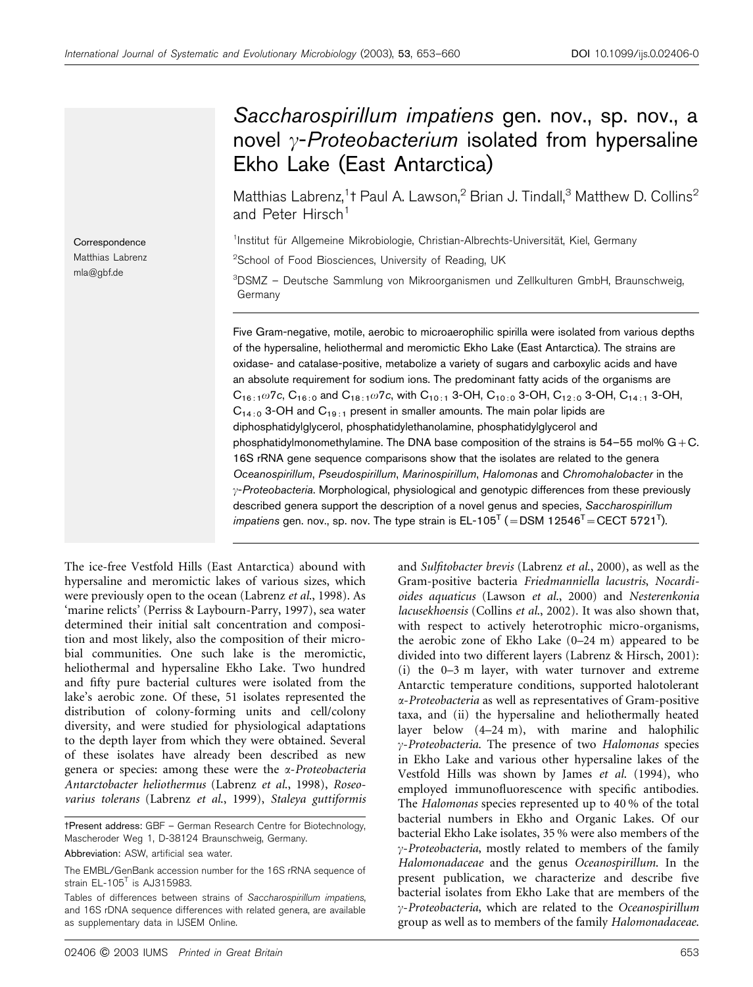# Saccharospirillum impatiens gen. nov., sp. nov., a novel  $\gamma$ -Proteobacterium isolated from hypersaline Ekho Lake (East Antarctica)

Matthias Labrenz,<sup>1</sup>t Paul A. Lawson,<sup>2</sup> Brian J. Tindall,<sup>3</sup> Matthew D. Collins<sup>2</sup> and Peter Hirsch<sup>1</sup>

<sup>1</sup>Institut für Allgemeine Mikrobiologie, Christian-Albrechts-Universität, Kiel, Germany

<sup>2</sup>School of Food Biosciences, University of Reading, UK

3 DSMZ – Deutsche Sammlung von Mikroorganismen und Zellkulturen GmbH, Braunschweig, Germany

Five Gram-negative, motile, aerobic to microaerophilic spirilla were isolated from various depths of the hypersaline, heliothermal and meromictic Ekho Lake (East Antarctica). The strains are oxidase- and catalase-positive, metabolize a variety of sugars and carboxylic acids and have an absolute requirement for sodium ions. The predominant fatty acids of the organisms are  $C_{16:1}\omega$ 7c,  $C_{16:0}$  and  $C_{18:1}\omega$ 7c, with  $C_{10:1}$  3-OH,  $C_{10:0}$  3-OH,  $C_{12:0}$  3-OH,  $C_{14:1}$  3-OH,  $C_{14:0}$  3-OH and  $C_{19:1}$  present in smaller amounts. The main polar lipids are diphosphatidylglycerol, phosphatidylethanolamine, phosphatidylglycerol and phosphatidylmonomethylamine. The DNA base composition of the strains is  $54-55$  mol%  $G+C$ . 16S rRNA gene sequence comparisons show that the isolates are related to the genera Oceanospirillum, Pseudospirillum, Marinospirillum, Halomonas and Chromohalobacter in the  $\gamma$ -Proteobacteria. Morphological, physiological and genotypic differences from these previously described genera support the description of a novel genus and species, Saccharospirillum *impatiens* gen. nov., sp. nov. The type strain is EL-105<sup>T</sup> (=DSM 12546<sup>T</sup>=CECT 5721<sup>T</sup>).

The ice-free Vestfold Hills (East Antarctica) abound with hypersaline and meromictic lakes of various sizes, which were previously open to the ocean (Labrenz et al., 1998). As 'marine relicts' (Perriss & Laybourn-Parry, 1997), sea water determined their initial salt concentration and composition and most likely, also the composition of their microbial communities. One such lake is the meromictic, heliothermal and hypersaline Ekho Lake. Two hundred and fifty pure bacterial cultures were isolated from the lake's aerobic zone. Of these, 51 isolates represented the distribution of colony-forming units and cell/colony diversity, and were studied for physiological adaptations to the depth layer from which they were obtained. Several of these isolates have already been described as new genera or species: among these were the a-Proteobacteria Antarctobacter heliothermus (Labrenz et al., 1998), Roseovarius tolerans (Labrenz et al., 1999), Staleya guttiformis and Sulfitobacter brevis (Labrenz et al., 2000), as well as the Gram-positive bacteria Friedmanniella lacustris, Nocardioides aquaticus (Lawson et al., 2000) and Nesterenkonia lacusekhoensis (Collins et al., 2002). It was also shown that, with respect to actively heterotrophic micro-organisms, the aerobic zone of Ekho Lake (0–24 m) appeared to be divided into two different layers (Labrenz & Hirsch, 2001): (i) the 0–3 m layer, with water turnover and extreme Antarctic temperature conditions, supported halotolerant a-Proteobacteria as well as representatives of Gram-positive taxa, and (ii) the hypersaline and heliothermally heated layer below (4–24 m), with marine and halophilic  $\gamma$ -Proteobacteria. The presence of two Halomonas species in Ekho Lake and various other hypersaline lakes of the Vestfold Hills was shown by James et al. (1994), who employed immunofluorescence with specific antibodies. The Halomonas species represented up to 40 % of the total bacterial numbers in Ekho and Organic Lakes. Of our bacterial Ekho Lake isolates, 35 % were also members of the  $\gamma$ -Proteobacteria, mostly related to members of the family Halomonadaceae and the genus Oceanospirillum. In the present publication, we characterize and describe five bacterial isolates from Ekho Lake that are members of the  $\gamma$ -Proteobacteria, which are related to the Oceanospirillum group as well as to members of the family Halomonadaceae.

Correspondence Matthias Labrenz mla@gbf.de

<sup>3</sup>Present address: GBF – German Research Centre for Biotechnology, Mascheroder Weg 1, D-38124 Braunschweig, Germany.

Abbreviation: ASW, artificial sea water.

The EMBL/GenBank accession number for the 16S rRNA sequence of strain  $EL-105<sup>T</sup>$  is AJ315983.

Tables of differences between strains of Saccharospirillum impatiens, and 16S rDNA sequence differences with related genera, are available as supplementary data in IJSEM Online.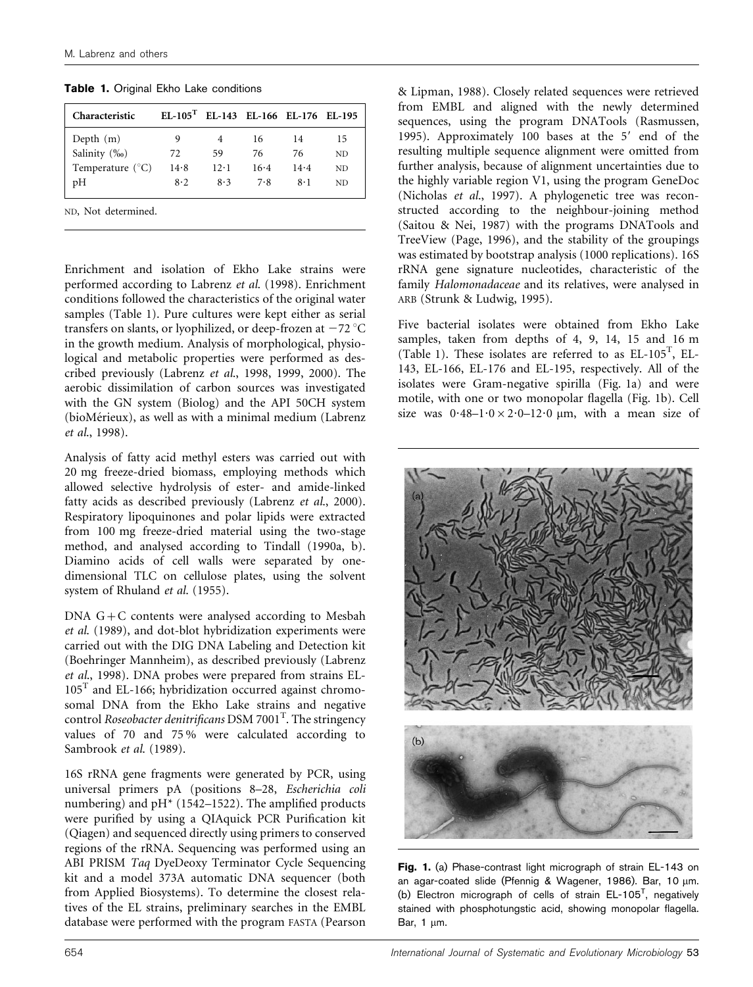Table 1. Original Ekho Lake conditions

| Characteristic            | $EL-105T$ EL-143 EL-166 EL-176 EL-195 |      |      |      |           |
|---------------------------|---------------------------------------|------|------|------|-----------|
| Depth $(m)$               | 9                                     |      | 16   | 14   | 15        |
| Salinity $(\%_0)$         | 72                                    | 59   | 76   | 76   | ND.       |
| Temperature $(^{\circ}C)$ | 14.8                                  | 12.1 | 16.4 | 14.4 | ND.       |
| pН                        | 8.2                                   | 8.3  | 7.8  | 8·1  | <b>ND</b> |
|                           |                                       |      |      |      |           |

ND, Not determined.

Enrichment and isolation of Ekho Lake strains were performed according to Labrenz et al. (1998). Enrichment conditions followed the characteristics of the original water samples (Table 1). Pure cultures were kept either as serial transfers on slants, or lyophilized, or deep-frozen at  $-72 \degree C$ in the growth medium. Analysis of morphological, physiological and metabolic properties were performed as described previously (Labrenz et al., 1998, 1999, 2000). The aerobic dissimilation of carbon sources was investigated with the GN system (Biolog) and the API 50CH system (bioMérieux), as well as with a minimal medium (Labrenz) et al., 1998).

Analysis of fatty acid methyl esters was carried out with 20 mg freeze-dried biomass, employing methods which allowed selective hydrolysis of ester- and amide-linked fatty acids as described previously (Labrenz et al., 2000). Respiratory lipoquinones and polar lipids were extracted from 100 mg freeze-dried material using the two-stage method, and analysed according to Tindall (1990a, b). Diamino acids of cell walls were separated by onedimensional TLC on cellulose plates, using the solvent system of Rhuland et al. (1955).

DNA G+C contents were analysed according to Mesbah et al. (1989), and dot-blot hybridization experiments were carried out with the DIG DNA Labeling and Detection kit (Boehringer Mannheim), as described previously (Labrenz et al., 1998). DNA probes were prepared from strains EL- $105<sup>T</sup>$  and EL-166; hybridization occurred against chromosomal DNA from the Ekho Lake strains and negative control Roseobacter denitrificans DSM 7001<sup>T</sup>. The stringency values of 70 and 75 % were calculated according to Sambrook et al. (1989).

16S rRNA gene fragments were generated by PCR, using universal primers pA (positions 8–28, Escherichia coli numbering) and  $pH*$  (1542–1522). The amplified products were purified by using a QIAquick PCR Purification kit (Qiagen) and sequenced directly using primers to conserved regions of the rRNA. Sequencing was performed using an ABI PRISM Taq DyeDeoxy Terminator Cycle Sequencing kit and a model 373A automatic DNA sequencer (both from Applied Biosystems). To determine the closest relatives of the EL strains, preliminary searches in the EMBL database were performed with the program FASTA (Pearson & Lipman, 1988). Closely related sequences were retrieved from EMBL and aligned with the newly determined sequences, using the program DNATools (Rasmussen, 1995). Approximately 100 bases at the  $5'$  end of the resulting multiple sequence alignment were omitted from further analysis, because of alignment uncertainties due to the highly variable region V1, using the program GeneDoc (Nicholas et al., 1997). A phylogenetic tree was reconstructed according to the neighbour-joining method (Saitou & Nei, 1987) with the programs DNATools and TreeView (Page, 1996), and the stability of the groupings was estimated by bootstrap analysis (1000 replications). 16S rRNA gene signature nucleotides, characteristic of the family Halomonadaceae and its relatives, were analysed in ARB (Strunk & Ludwig, 1995).

Five bacterial isolates were obtained from Ekho Lake samples, taken from depths of 4, 9, 14, 15 and 16 m (Table 1). These isolates are referred to as EL-105T , EL-143, EL-166, EL-176 and EL-195, respectively. All of the isolates were Gram-negative spirilla (Fig. 1a) and were motile, with one or two monopolar flagella (Fig. 1b). Cell size was  $0.48-1.0 \times 2.0-12.0$  µm, with a mean size of



Fig. 1. (a) Phase-contrast light micrograph of strain EL-143 on an agar-coated slide (Pfennig & Wagener, 1986). Bar, 10 um. (b) Electron micrograph of cells of strain  $EL-105^T$ , negatively stained with phosphotungstic acid, showing monopolar flagella. Bar,  $1 \mu m$ .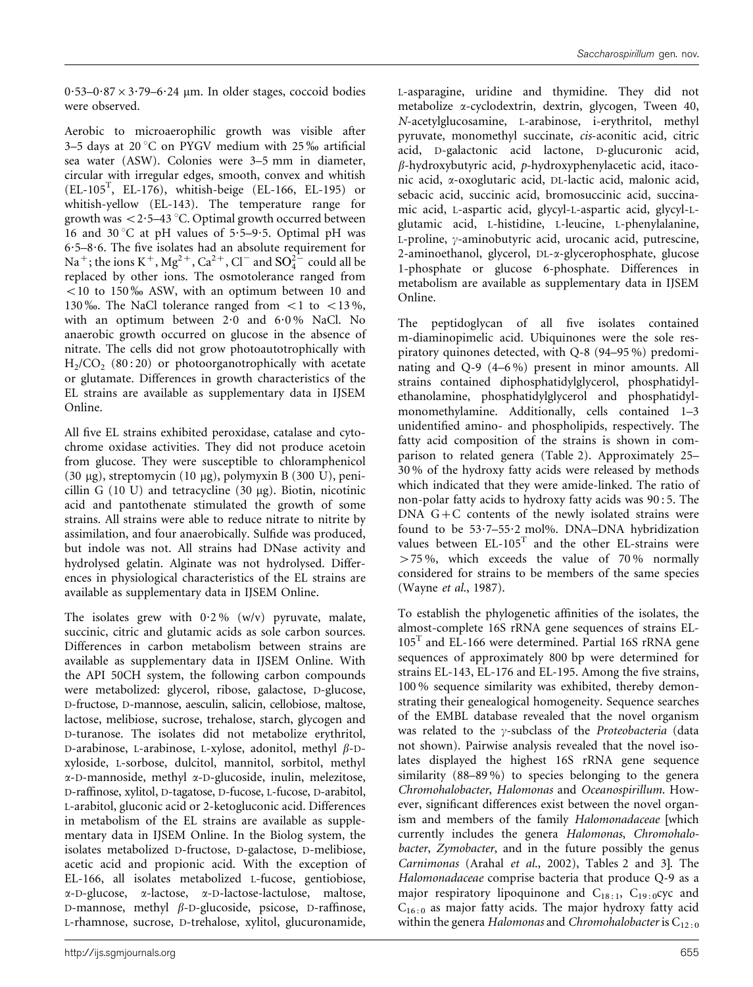$0.53-0.87\times3.79-6.24 \mu m$ . In older stages, coccoid bodies were observed.

Aerobic to microaerophilic growth was visible after 3–5 days at 20 $\degree$ C on PYGV medium with 25 $\%$  artificial sea water (ASW). Colonies were 3–5 mm in diameter, circular with irregular edges, smooth, convex and whitish (EL-105T , EL-176), whitish-beige (EL-166, EL-195) or whitish-yellow (EL-143). The temperature range for growth was  $<$  2 $\cdot$ 5–43 °C. Optimal growth occurred between 16 and 30 °C at pH values of 5.5–9.5. Optimal pH was  $6.5-8.6$ . The five isolates had an absolute requirement for Na<sup>+</sup>; the ions K<sup>+</sup>, Mg<sup>2+</sup>, Ca<sup>2+</sup>, Cl<sup>-</sup> and  $SO_4^{2-}$  could all be replaced by other ions. The osmotolerance ranged from  $<$  10 to 150  $\%$  ASW, with an optimum between 10 and 130 %. The NaCl tolerance ranged from  $\lt 1$  to  $\lt 13\%$ , with an optimum between 2.0 and 6.0% NaCl. No anaerobic growth occurred on glucose in the absence of nitrate. The cells did not grow photoautotrophically with  $H_2/CO_2$  (80:20) or photoorganotrophically with acetate or glutamate. Differences in growth characteristics of the EL strains are available as supplementary data in IJSEM Online.

All five EL strains exhibited peroxidase, catalase and cytochrome oxidase activities. They did not produce acetoin from glucose. They were susceptible to chloramphenicol (30  $\mu$ g), streptomycin (10  $\mu$ g), polymyxin B (300 U), penicillin G  $(10 \text{ U})$  and tetracycline  $(30 \mu g)$ . Biotin, nicotinic acid and pantothenate stimulated the growth of some strains. All strains were able to reduce nitrate to nitrite by assimilation, and four anaerobically. Sulfide was produced, but indole was not. All strains had DNase activity and hydrolysed gelatin. Alginate was not hydrolysed. Differences in physiological characteristics of the EL strains are available as supplementary data in IJSEM Online.

The isolates grew with  $0.2\%$  (w/v) pyruvate, malate, succinic, citric and glutamic acids as sole carbon sources. Differences in carbon metabolism between strains are available as supplementary data in IJSEM Online. With the API 50CH system, the following carbon compounds were metabolized: glycerol, ribose, galactose, D-glucose, D-fructose, D-mannose, aesculin, salicin, cellobiose, maltose, lactose, melibiose, sucrose, trehalose, starch, glycogen and D-turanose. The isolates did not metabolize erythritol, D-arabinose, L-arabinose, L-xylose, adonitol, methyl  $\beta$ -Dxyloside, L-sorbose, dulcitol, mannitol, sorbitol, methyl a-D-mannoside, methyl a-D-glucoside, inulin, melezitose, D-raffinose, xylitol, D-tagatose, D-fucose, L-fucose, D-arabitol, L-arabitol, gluconic acid or 2-ketogluconic acid. Differences in metabolism of the EL strains are available as supplementary data in IJSEM Online. In the Biolog system, the isolates metabolized D-fructose, D-galactose, D-melibiose, acetic acid and propionic acid. With the exception of EL-166, all isolates metabolized L-fucose, gentiobiose, a-D-glucose, a-lactose, a-D-lactose-lactulose, maltose, D-mannose, methyl  $\beta$ -D-glucoside, psicose, D-raffinose, L-rhamnose, sucrose, D-trehalose, xylitol, glucuronamide,

L-asparagine, uridine and thymidine. They did not metabolize a-cyclodextrin, dextrin, glycogen, Tween 40, N-acetylglucosamine, L-arabinose, i-erythritol, methyl pyruvate, monomethyl succinate, cis-aconitic acid, citric acid, D-galactonic acid lactone, D-glucuronic acid,  $\beta$ -hydroxybutyric acid, p-hydroxyphenylacetic acid, itaconic acid, a-oxoglutaric acid, DL-lactic acid, malonic acid, sebacic acid, succinic acid, bromosuccinic acid, succinamic acid, L-aspartic acid, glycyl-L-aspartic acid, glycyl-Lglutamic acid, L-histidine, L-leucine, L-phenylalanine, L-proline,  $\gamma$ -aminobutyric acid, urocanic acid, putrescine, 2-aminoethanol, glycerol, DL-a-glycerophosphate, glucose 1-phosphate or glucose 6-phosphate. Differences in metabolism are available as supplementary data in IJSEM Online.

The peptidoglycan of all five isolates contained m-diaminopimelic acid. Ubiquinones were the sole respiratory quinones detected, with Q-8 (94–95 %) predominating and Q-9 (4–6 %) present in minor amounts. All strains contained diphosphatidylglycerol, phosphatidylethanolamine, phosphatidylglycerol and phosphatidylmonomethylamine. Additionally, cells contained 1–3 unidentified amino- and phospholipids, respectively. The fatty acid composition of the strains is shown in comparison to related genera (Table 2). Approximately 25– 30 % of the hydroxy fatty acids were released by methods which indicated that they were amide-linked. The ratio of non-polar fatty acids to hydroxy fatty acids was 90 : 5. The DNA  $G+C$  contents of the newly isolated strains were found to be 53?7–55?2 mol%. DNA–DNA hybridization values between  $EL-105<sup>T</sup>$  and the other EL-strains were  $>75\%$ , which exceeds the value of 70% normally considered for strains to be members of the same species (Wayne et al., 1987).

To establish the phylogenetic affinities of the isolates, the almost-complete 16S rRNA gene sequences of strains EL- $105<sup>T</sup>$  and EL-166 were determined. Partial 16S rRNA gene sequences of approximately 800 bp were determined for strains EL-143, EL-176 and EL-195. Among the five strains, 100 % sequence similarity was exhibited, thereby demonstrating their genealogical homogeneity. Sequence searches of the EMBL database revealed that the novel organism was related to the  $\gamma$ -subclass of the *Proteobacteria* (data not shown). Pairwise analysis revealed that the novel isolates displayed the highest 16S rRNA gene sequence similarity (88–89 %) to species belonging to the genera Chromohalobacter, Halomonas and Oceanospirillum. However, significant differences exist between the novel organism and members of the family Halomonadaceae [which currently includes the genera Halomonas, Chromohalobacter, Zymobacter, and in the future possibly the genus Carnimonas (Arahal et al., 2002), Tables 2 and 3]. The Halomonadaceae comprise bacteria that produce Q-9 as a major respiratory lipoquinone and  $C_{18:1}$ ,  $C_{19:0}$  cyc and  $C_{16:0}$  as major fatty acids. The major hydroxy fatty acid within the genera Halomonas and Chromohalobacter is  $C_{12:0}$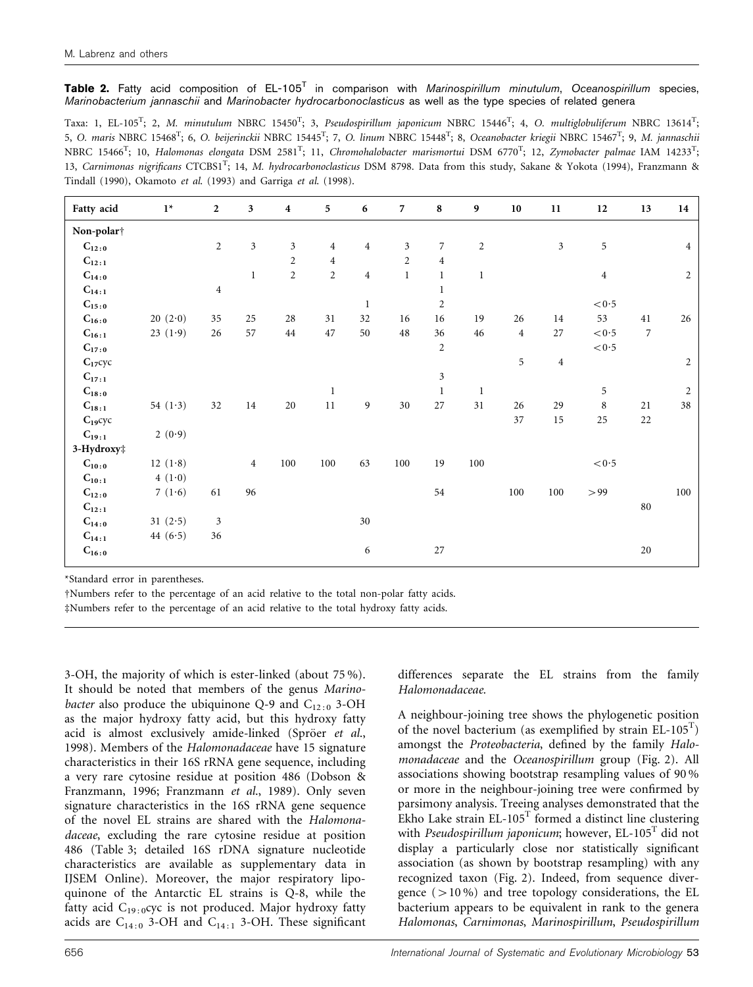Table 2. Fatty acid composition of  $EL-105<sup>T</sup>$  in comparison with Marinospirillum minutulum, Oceanospirillum species, Marinobacterium jannaschii and Marinobacter hydrocarbonoclasticus as well as the type species of related genera

Taxa: 1, EL-105<sup>T</sup>; 2, M. minutulum NBRC 15450<sup>T</sup>; 3, Pseudospirillum japonicum NBRC 15446<sup>T</sup>; 4, O. multiglobuliferum NBRC 13614<sup>T</sup>; 5, O. maris NBRC 15468<sup>T</sup>; 6, O. beijerinckii NBRC 15445<sup>T</sup>; 7, O. linum NBRC 15448<sup>T</sup>; 8, Oceanobacter kriegii NBRC 15467<sup>T</sup>; 9, M. jannaschii NBRC 15466<sup>T</sup>; 10, Halomonas elongata DSM 2581<sup>T</sup>; 11, Chromohalobacter marismortui DSM 6770<sup>T</sup>; 12, Zymobacter palmae IAM 14233<sup>T</sup>; 13, Carnimonas nigrificans CTCBS1<sup>T</sup>; 14, M. hydrocarbonoclasticus DSM 8798. Data from this study, Sakane & Yokota (1994), Franzmann & Tindall (1990), Okamoto et al. (1993) and Garriga et al. (1998).

| Fatty acid          | $1^{\star}$ | $\overline{2}$ | $\overline{\mathbf{3}}$ | $\overline{\mathbf{4}}$ | 5              | 6              | $\overline{7}$ | 8              | $\boldsymbol{9}$ | $10\,$         | 11               | $12\,$           | 13             | 14             |
|---------------------|-------------|----------------|-------------------------|-------------------------|----------------|----------------|----------------|----------------|------------------|----------------|------------------|------------------|----------------|----------------|
| Non-polar†          |             |                |                         |                         |                |                |                |                |                  |                |                  |                  |                |                |
| $C_{12:0}$          |             | $\overline{c}$ | $\mathfrak{Z}$          | 3                       | $\overline{4}$ | $\overline{4}$ | $\sqrt{3}$     | $\overline{7}$ | $\overline{c}$   |                | $\mathfrak{Z}$   | 5                |                | $\overline{4}$ |
| $C_{12:1}$          |             |                |                         | $\overline{2}$          | $\overline{4}$ |                | $\sqrt{2}$     | $\overline{4}$ |                  |                |                  |                  |                |                |
| $C_{14:0}$          |             |                | $\mathbf{1}$            | $\overline{2}$          | $\overline{2}$ | $\overline{4}$ | $\mathbf{1}$   | $\mathbf{1}$   | $\mathbf{1}$     |                |                  | $\overline{4}$   |                | 2              |
| $C_{14:1}$          |             | $\overline{4}$ |                         |                         |                |                |                | $\mathbf{1}$   |                  |                |                  |                  |                |                |
| $C_{15:0}$          |             |                |                         |                         |                | $\mathbf{1}$   |                | $\sqrt{2}$     |                  |                |                  | $<\!0.5$         |                |                |
| $C_{16:0}$          | 20(2.0)     | 35             | 25                      | 28                      | 31             | 32             | 16             | 16             | 19               | $26\,$         | 14               | 53               | 41             | 26             |
| $C_{16:1}$          | 23 $(1.9)$  | 26             | 57                      | $\rm 44$                | 47             | 50             | $48\,$         | 36             | 46               | $\overline{4}$ | $27\,$           | $<\!0\!\cdot\!5$ | $\overline{7}$ |                |
| $C_{17:0}$          |             |                |                         |                         |                |                |                | $\overline{c}$ |                  |                |                  | $<\!0\!\cdot\!5$ |                |                |
| $C_{17}$ сус        |             |                |                         |                         |                |                |                |                |                  | 5              | $\boldsymbol{4}$ |                  |                | $\overline{c}$ |
| $C_{17:1}$          |             |                |                         |                         |                |                |                | $\mathfrak{Z}$ |                  |                |                  |                  |                |                |
| $\mathbf{C_{18:0}}$ |             |                |                         |                         | $\mathbf{1}$   |                |                | $\mathbf{1}$   | $\mathbf{1}$     |                |                  | 5                |                | $\overline{2}$ |
| $C_{18:1}$          | 54 $(1.3)$  | 32             | $14\,$                  | $20\,$                  | $11\,$         | 9              | $30\,$         | $27\,$         | 31               | 26             | 29               | $\,$ 8 $\,$      | 21             | 38             |
| $C_{19}$ сус        |             |                |                         |                         |                |                |                |                |                  | 37             | 15               | 25               | 22             |                |
| $C_{19:1}$          | 2(0.9)      |                |                         |                         |                |                |                |                |                  |                |                  |                  |                |                |
| 3-Hydroxy‡          |             |                |                         |                         |                |                |                |                |                  |                |                  |                  |                |                |
| $C_{10:0}$          | 12 $(1.8)$  |                | $\overline{4}$          | 100                     | $100\,$        | 63             | 100            | 19             | 100              |                |                  | $<\!0\!\cdot\!5$ |                |                |
| $C_{10:1}$          | 4(1.0)      |                |                         |                         |                |                |                |                |                  |                |                  |                  |                |                |
| $C_{12:0}$          | 7 $(1.6)$   | 61             | 96                      |                         |                |                |                | 54             |                  | 100            | 100              | > 99             |                | 100            |
| $C_{12:1}$          |             |                |                         |                         |                |                |                |                |                  |                |                  |                  | $80\,$         |                |
| $C_{14:0}$          | 31 $(2.5)$  | 3              |                         |                         |                | 30             |                |                |                  |                |                  |                  |                |                |
| $C_{14:1}$          | 44 $(6.5)$  | 36             |                         |                         |                |                |                |                |                  |                |                  |                  |                |                |
| $C_{16:0}$          |             |                |                         |                         |                | 6              |                | $27\,$         |                  |                |                  |                  | $20\,$         |                |

\*Standard error in parentheses.

†Numbers refer to the percentage of an acid relative to the total non-polar fatty acids.

#Numbers refer to the percentage of an acid relative to the total hydroxy fatty acids.

3-OH, the majority of which is ester-linked (about 75 %). It should be noted that members of the genus Marinobacter also produce the ubiquinone Q-9 and  $C_{12:0}$  3-OH as the major hydroxy fatty acid, but this hydroxy fatty acid is almost exclusively amide-linked (Spröer et al., 1998). Members of the Halomonadaceae have 15 signature characteristics in their 16S rRNA gene sequence, including a very rare cytosine residue at position 486 (Dobson & Franzmann, 1996; Franzmann et al., 1989). Only seven signature characteristics in the 16S rRNA gene sequence of the novel EL strains are shared with the Halomonadaceae, excluding the rare cytosine residue at position 486 (Table 3; detailed 16S rDNA signature nucleotide characteristics are available as supplementary data in IJSEM Online). Moreover, the major respiratory lipoquinone of the Antarctic EL strains is Q-8, while the fatty acid  $C_{19:0}$ cyc is not produced. Major hydroxy fatty acids are  $C_{14:0}$  3-OH and  $C_{14:1}$  3-OH. These significant differences separate the EL strains from the family Halomonadaceae.

A neighbour-joining tree shows the phylogenetic position of the novel bacterium (as exemplified by strain EL-105T ) amongst the Proteobacteria, defined by the family Halomonadaceae and the Oceanospirillum group (Fig. 2). All associations showing bootstrap resampling values of 90 % or more in the neighbour-joining tree were confirmed by parsimony analysis. Treeing analyses demonstrated that the Ekho Lake strain  $EL-105<sup>T</sup>$  formed a distinct line clustering with Pseudospirillum japonicum; however,  $EL-105<sup>T</sup>$  did not display a particularly close nor statistically significant association (as shown by bootstrap resampling) with any recognized taxon (Fig. 2). Indeed, from sequence divergence  $(>10\%)$  and tree topology considerations, the EL bacterium appears to be equivalent in rank to the genera Halomonas, Carnimonas, Marinospirillum, Pseudospirillum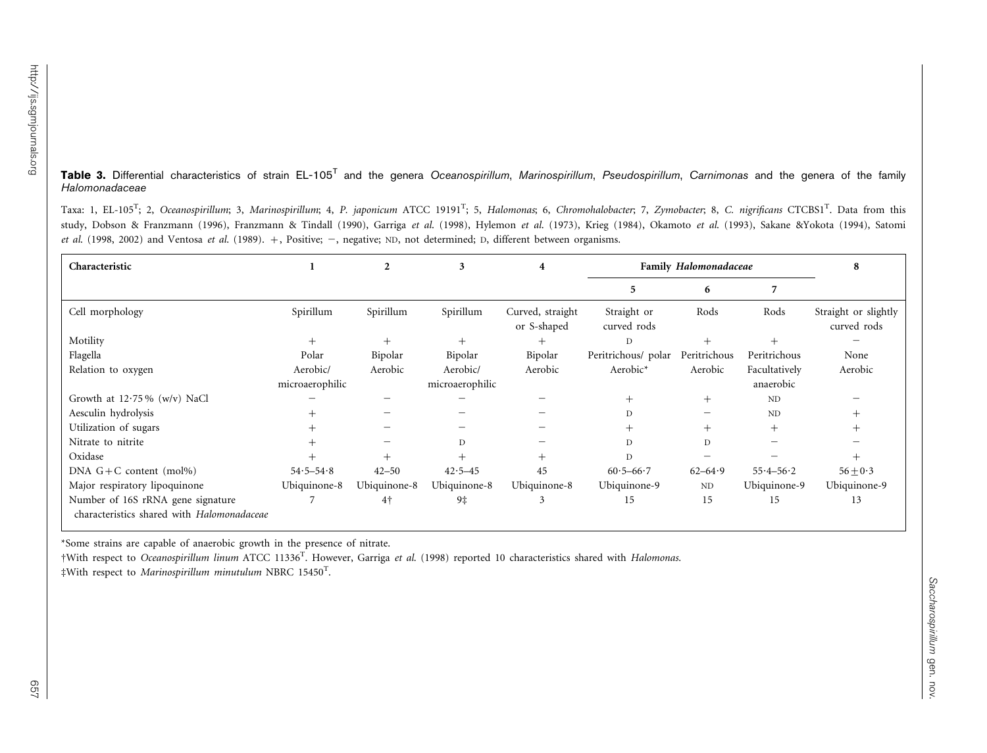**Table 3.** Differential characteristics of strain EL-105<sup>T</sup> and the genera *Oceanospirillum, Marinospirillum, Pseudospirillum, Carnimonas* and the genera of the family Halomonadaceae

Taxa: 1, EL-105<sup>T</sup>; 2, Oceanospirillum; 3, Marinospirillum; 4, P. japonicum ATCC 19191<sup>T</sup>; 5, Halomonas; 6, Chromohalobacter; 7, Zymobacter; 8, C. nigrificans CTCBS1<sup>T</sup>. Data from this study, Dobson & Franzmann (1996), Franzmann & Tindall (1990), Garriga et al. (1998), Hylemon et al. (1973), Krieg (1984), Okamoto et al. (1993), Sakane &Yokota (1994), Satomi et al. (1998, 2002) and Ventosa et al. (1989).  $+$ , Positive;  $-$ , negative; ND, not determined; D, different between organisms.

| Characteristic                                                                  |                 |                | 3               | 4                               | <b>Family Halomonadaceae</b> |              |               | 8                                   |
|---------------------------------------------------------------------------------|-----------------|----------------|-----------------|---------------------------------|------------------------------|--------------|---------------|-------------------------------------|
|                                                                                 |                 |                |                 |                                 | 5                            | 6            |               |                                     |
| Cell morphology                                                                 | Spirillum       | Spirillum      | Spirillum       | Curved, straight<br>or S-shaped | Straight or<br>curved rods   | Rods         | Rods          | Straight or slightly<br>curved rods |
| Motility                                                                        | $^{+}$          |                |                 | $^{+}$                          | D                            |              |               |                                     |
| Flagella                                                                        | Polar           | Bipolar        | Bipolar         | Bipolar                         | Peritrichous/ polar          | Peritrichous | Peritrichous  | None                                |
| Relation to oxygen                                                              | Aerobic/        | Aerobic        | Aerobic/        | Aerobic                         | Aerobic*                     | Aerobic      | Facultatively | Aerobic                             |
|                                                                                 | microaerophilic |                | microaerophilic |                                 |                              |              | anaerobic     |                                     |
| Growth at $12.75\%$ (w/v) NaCl                                                  |                 |                |                 |                                 |                              | $\mathrm{+}$ | ND            |                                     |
| Aesculin hydrolysis                                                             |                 |                |                 |                                 | D                            |              | ND            |                                     |
| Utilization of sugars                                                           |                 |                |                 |                                 | $^+$                         | $^{+}$       | $^+$          |                                     |
| Nitrate to nitrite                                                              |                 |                | D               |                                 | D                            | D            |               |                                     |
| Oxidase                                                                         |                 |                | $^{+}$          | $^{+}$                          | D                            |              |               |                                     |
| DNA $G + C$ content (mol%)                                                      | $54.5 - 54.8$   | $42 - 50$      | $42.5 - 45$     | 45                              | $60.5 - 66.7$                | $62 - 64.9$  | $55.4 - 56.2$ | $56 \pm 0.3$                        |
| Major respiratory lipoquinone                                                   | Ubiquinone-8    | Ubiquinone-8   | Ubiquinone-8    | Ubiquinone-8                    | Ubiquinone-9                 | $\rm ND$     | Ubiquinone-9  | Ubiquinone-9                        |
| Number of 16S rRNA gene signature<br>characteristics shared with Halomonadaceae |                 | 4 <sup>†</sup> | 9‡              |                                 | 15                           | 15           | 15            | 13                                  |

\*Some strains are capable of anaerobic growth in the presence of nitrate.

<sup>†</sup>With respect to Oceanospirillum linum ATCC 11336<sup>T</sup>. However, Garriga et al. (1998) reported 10 characteristics shared with Halomonas.

 $\text{\#With respect to *Marinospirillum minutulum* NBRC 15450<sup>T</sup>.}$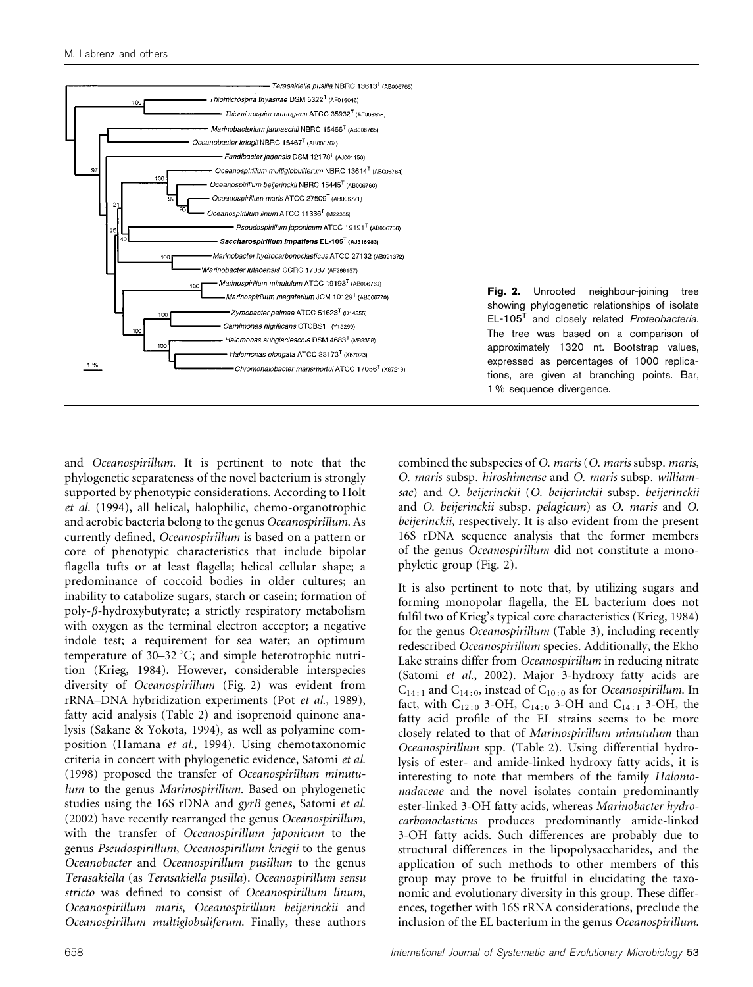

Fig. 2. Unrooted neighbour-joining tree showing phylogenetic relationships of isolate  $EL-105<sup>T</sup>$  and closely related *Proteobacteria*. The tree was based on a comparison of approximately 1320 nt. Bootstrap values, expressed as percentages of 1000 replications, are given at branching points. Bar, 1 % sequence divergence.

and Oceanospirillum. It is pertinent to note that the phylogenetic separateness of the novel bacterium is strongly supported by phenotypic considerations. According to Holt et al. (1994), all helical, halophilic, chemo-organotrophic and aerobic bacteria belong to the genus Oceanospirillum. As currently defined, Oceanospirillum is based on a pattern or core of phenotypic characteristics that include bipolar flagella tufts or at least flagella; helical cellular shape; a predominance of coccoid bodies in older cultures; an inability to catabolize sugars, starch or casein; formation of  $poly-\beta$ -hydroxybutyrate; a strictly respiratory metabolism with oxygen as the terminal electron acceptor; a negative indole test; a requirement for sea water; an optimum temperature of  $30-32$  °C; and simple heterotrophic nutrition (Krieg, 1984). However, considerable interspecies diversity of Oceanospirillum (Fig. 2) was evident from rRNA–DNA hybridization experiments (Pot et al., 1989), fatty acid analysis (Table 2) and isoprenoid quinone analysis (Sakane & Yokota, 1994), as well as polyamine composition (Hamana et al., 1994). Using chemotaxonomic criteria in concert with phylogenetic evidence, Satomi et al. (1998) proposed the transfer of Oceanospirillum minutulum to the genus Marinospirillum. Based on phylogenetic studies using the 16S rDNA and gyrB genes, Satomi et al. (2002) have recently rearranged the genus Oceanospirillum, with the transfer of Oceanospirillum japonicum to the genus Pseudospirillum, Oceanospirillum kriegii to the genus Oceanobacter and Oceanospirillum pusillum to the genus Terasakiella (as Terasakiella pusilla). Oceanospirillum sensu stricto was defined to consist of Oceanospirillum linum, Oceanospirillum maris, Oceanospirillum beijerinckii and Oceanospirillum multiglobuliferum. Finally, these authors

combined the subspecies of O. maris (O. maris subsp. maris, O. maris subsp. hiroshimense and O. maris subsp. williamsae) and O. beijerinckii (O. beijerinckii subsp. beijerinckii and O. beijerinckii subsp. pelagicum) as O. maris and O. beijerinckii, respectively. It is also evident from the present 16S rDNA sequence analysis that the former members of the genus Oceanospirillum did not constitute a monophyletic group (Fig. 2).

It is also pertinent to note that, by utilizing sugars and forming monopolar flagella, the EL bacterium does not fulfil two of Krieg's typical core characteristics (Krieg, 1984) for the genus Oceanospirillum (Table 3), including recently redescribed Oceanospirillum species. Additionally, the Ekho Lake strains differ from Oceanospirillum in reducing nitrate (Satomi et al., 2002). Major 3-hydroxy fatty acids are  $C_{14:1}$  and  $C_{14:0}$ , instead of  $C_{10:0}$  as for *Oceanospirillum*. In fact, with  $C_{12:0}$  3-OH,  $C_{14:0}$  3-OH and  $C_{14:1}$  3-OH, the fatty acid profile of the EL strains seems to be more closely related to that of Marinospirillum minutulum than Oceanospirillum spp. (Table 2). Using differential hydrolysis of ester- and amide-linked hydroxy fatty acids, it is interesting to note that members of the family Halomonadaceae and the novel isolates contain predominantly ester-linked 3-OH fatty acids, whereas Marinobacter hydrocarbonoclasticus produces predominantly amide-linked 3-OH fatty acids. Such differences are probably due to structural differences in the lipopolysaccharides, and the application of such methods to other members of this group may prove to be fruitful in elucidating the taxonomic and evolutionary diversity in this group. These differences, together with 16S rRNA considerations, preclude the inclusion of the EL bacterium in the genus Oceanospirillum.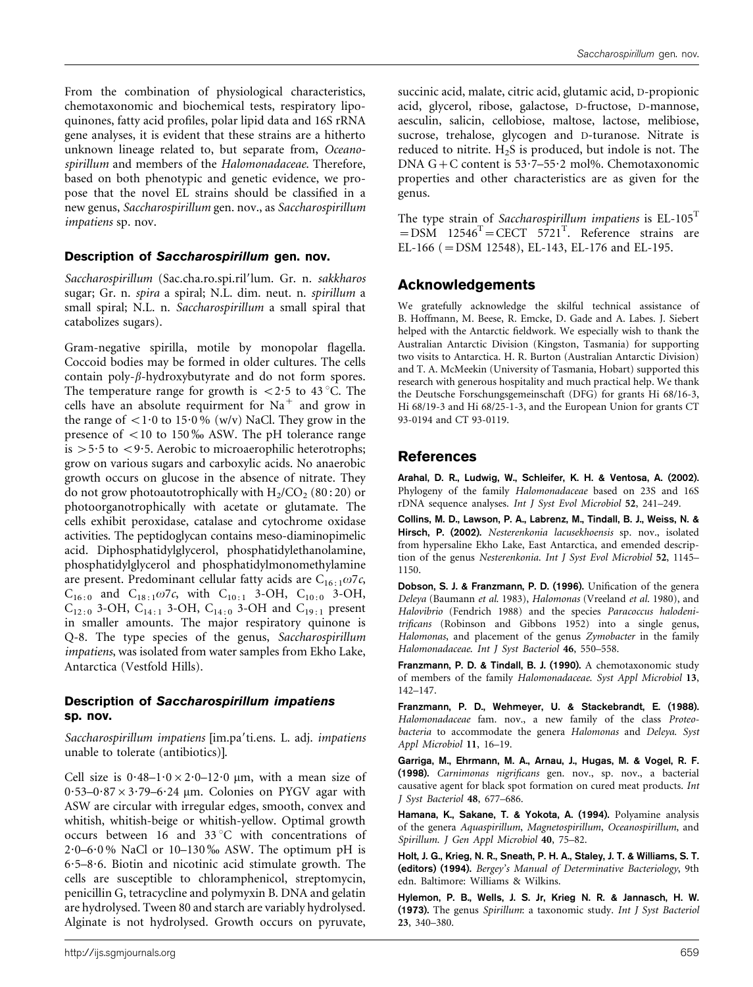From the combination of physiological characteristics, chemotaxonomic and biochemical tests, respiratory lipoquinones, fatty acid profiles, polar lipid data and 16S rRNA gene analyses, it is evident that these strains are a hitherto unknown lineage related to, but separate from, Oceanospirillum and members of the Halomonadaceae. Therefore, based on both phenotypic and genetic evidence, we propose that the novel EL strains should be classified in a new genus, Saccharospirillum gen. nov., as Saccharospirillum impatiens sp. nov.

#### Description of Saccharospirillum gen. nov.

Saccharospirillum (Sac.cha.ro.spi.ril'lum. Gr. n. sakkharos sugar; Gr. n. spira a spiral; N.L. dim. neut. n. spirillum a small spiral; N.L. n. Saccharospirillum a small spiral that catabolizes sugars).

Gram-negative spirilla, motile by monopolar flagella. Coccoid bodies may be formed in older cultures. The cells contain poly- $\beta$ -hydroxybutyrate and do not form spores. The temperature range for growth is  $\langle 2.5 \rangle$  to 43 °C. The cells have an absolute requirment for  $Na<sup>+</sup>$  and grow in the range of  $\langle 1.0 \text{ to } 15.0 \% \text{ (w/v)}$  NaCl. They grow in the presence of  $<$ 10 to 150‰ ASW. The pH tolerance range is  $>5.5$  to  $<9.5$ . Aerobic to microaerophilic heterotrophs; grow on various sugars and carboxylic acids. No anaerobic growth occurs on glucose in the absence of nitrate. They do not grow photoautotrophically with  $H_2/CO_2$  (80:20) or photoorganotrophically with acetate or glutamate. The cells exhibit peroxidase, catalase and cytochrome oxidase activities. The peptidoglycan contains meso-diaminopimelic acid. Diphosphatidylglycerol, phosphatidylethanolamine, phosphatidylglycerol and phosphatidylmonomethylamine are present. Predominant cellular fatty acids are  $C_{16:1}\omega$ 7c,  $C_{16:0}$  and  $C_{18:1}\omega$ 7c, with  $C_{10:1}$  3-OH,  $C_{10:0}$  3-OH,  $C_{12:0}$  3-OH,  $C_{14:1}$  3-OH,  $C_{14:0}$  3-OH and  $C_{19:1}$  present in smaller amounts. The major respiratory quinone is Q-8. The type species of the genus, Saccharospirillum impatiens, was isolated from water samples from Ekho Lake, Antarctica (Vestfold Hills).

### Description of Saccharospirillum impatiens sp. nov.

Saccharospirillum impatiens [im.pa'ti.ens. L. adj. impatiens unable to tolerate (antibiotics)].

Cell size is  $0.48-1.0 \times 2.0-12.0$  µm, with a mean size of  $0.53-0.87\times3.79-6.24$  µm. Colonies on PYGV agar with ASW are circular with irregular edges, smooth, convex and whitish, whitish-beige or whitish-yellow. Optimal growth occurs between 16 and 33 $^{\circ}$ C with concentrations of  $2.0-6.0\%$  NaCl or  $10-130\%$  ASW. The optimum pH is  $6.5-8.6$ . Biotin and nicotinic acid stimulate growth. The cells are susceptible to chloramphenicol, streptomycin, penicillin G, tetracycline and polymyxin B. DNA and gelatin are hydrolysed. Tween 80 and starch are variably hydrolysed. Alginate is not hydrolysed. Growth occurs on pyruvate,

succinic acid, malate, citric acid, glutamic acid, D-propionic acid, glycerol, ribose, galactose, D-fructose, D-mannose, aesculin, salicin, cellobiose, maltose, lactose, melibiose, sucrose, trehalose, glycogen and D-turanose. Nitrate is reduced to nitrite.  $H_2S$  is produced, but indole is not. The DNA  $G + C$  content is 53 $-7-55$  $-2$  mol%. Chemotaxonomic properties and other characteristics are as given for the genus.

The type strain of Saccharospirillum impatiens is  $EL-105<sup>T</sup>$  $=$  DSM 12546<sup>T</sup> = CECT 5721<sup>T</sup>. Reference strains are EL-166 (=DSM 12548), EL-143, EL-176 and EL-195.

## Acknowledgements

We gratefully acknowledge the skilful technical assistance of B. Hoffmann, M. Beese, R. Emcke, D. Gade and A. Labes. J. Siebert helped with the Antarctic fieldwork. We especially wish to thank the Australian Antarctic Division (Kingston, Tasmania) for supporting two visits to Antarctica. H. R. Burton (Australian Antarctic Division) and T. A. McMeekin (University of Tasmania, Hobart) supported this research with generous hospitality and much practical help. We thank the Deutsche Forschungsgemeinschaft (DFG) for grants Hi 68/16-3, Hi 68/19-3 and Hi 68/25-1-3, and the European Union for grants CT 93-0194 and CT 93-0119.

## References

Arahal, D. R., Ludwig, W., Schleifer, K. H. & Ventosa, A. (2002). Phylogeny of the family Halomonadaceae based on 23S and 16S rDNA sequence analyses. Int J Syst Evol Microbiol 52, 241–249.

Collins, M. D., Lawson, P. A., Labrenz, M., Tindall, B. J., Weiss, N. & Hirsch, P. (2002). Nesterenkonia lacusekhoensis sp. nov., isolated from hypersaline Ekho Lake, East Antarctica, and emended description of the genus Nesterenkonia. Int J Syst Evol Microbiol 52, 1145– 1150.

Dobson, S. J. & Franzmann, P. D. (1996). Unification of the genera Deleya (Baumann et al. 1983), Halomonas (Vreeland et al. 1980), and Halovibrio (Fendrich 1988) and the species Paracoccus halodenitrificans (Robinson and Gibbons 1952) into a single genus, Halomonas, and placement of the genus Zymobacter in the family Halomonadaceae. Int J Syst Bacteriol 46, 550-558.

Franzmann, P. D. & Tindall, B. J. (1990). A chemotaxonomic study of members of the family Halomonadaceae. Syst Appl Microbiol 13, 142–147.

Franzmann, P. D., Wehmeyer, U. & Stackebrandt, E. (1988). Halomonadaceae fam. nov., a new family of the class Proteobacteria to accommodate the genera Halomonas and Deleya. Syst Appl Microbiol 11, 16–19.

Garriga, M., Ehrmann, M. A., Arnau, J., Hugas, M. & Vogel, R. F. (1998). Carnimonas nigrificans gen. nov., sp. nov., a bacterial causative agent for black spot formation on cured meat products. Int J Syst Bacteriol 48, 677–686.

Hamana, K., Sakane, T. & Yokota, A. (1994). Polyamine analysis of the genera Aquaspirillum, Magnetospirillum, Oceanospirillum, and Spirillum. J Gen Appl Microbiol 40, 75–82.

Holt, J. G., Krieg, N. R., Sneath, P. H. A., Staley, J. T. & Williams, S. T. (editors) (1994). Bergey's Manual of Determinative Bacteriology, 9th edn. Baltimore: Williams & Wilkins.

Hylemon, P. B., Wells, J. S. Jr, Krieg N. R. & Jannasch, H. W. (1973). The genus Spirillum: a taxonomic study. Int J Syst Bacteriol 23, 340–380.